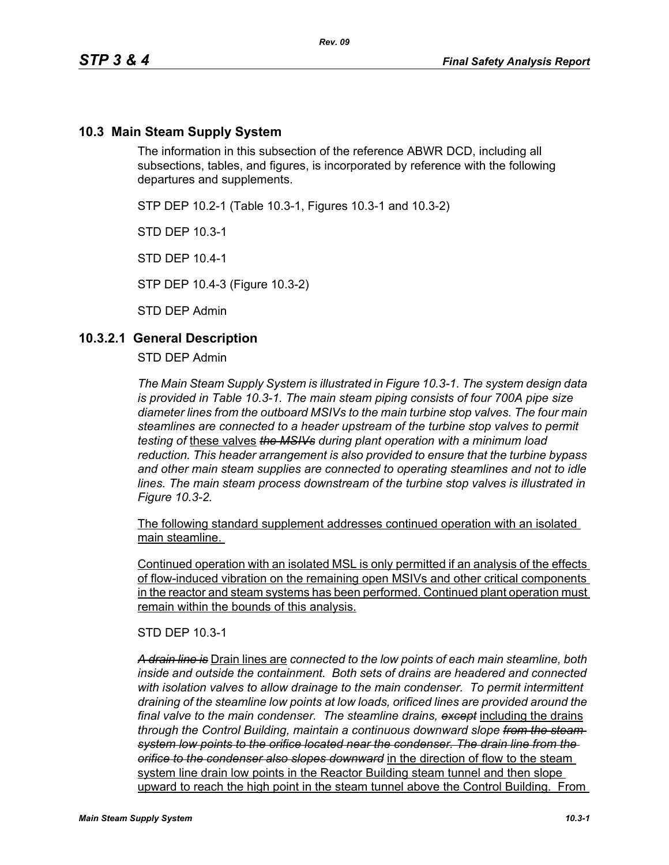## **10.3 Main Steam Supply System**

The information in this subsection of the reference ABWR DCD, including all subsections, tables, and figures, is incorporated by reference with the following departures and supplements.

STP DEP 10.2-1 (Table 10.3-1, Figures 10.3-1 and 10.3-2)

STD DEP 10.3-1

STD DEP 10.4-1

STP DEP 10.4-3 (Figure 10.3-2)

STD DEP Admin

#### **10.3.2.1 General Description**

STD DEP Admin

*The Main Steam Supply System is illustrated in Figure 10.3-1. The system design data is provided in Table 10.3-1. The main steam piping consists of four 700A pipe size diameter lines from the outboard MSIVs to the main turbine stop valves. The four main steamlines are connected to a header upstream of the turbine stop valves to permit testing of* these valves *the MSIVs during plant operation with a minimum load reduction. This header arrangement is also provided to ensure that the turbine bypass and other main steam supplies are connected to operating steamlines and not to idle lines. The main steam process downstream of the turbine stop valves is illustrated in Figure 10.3-2.*

The following standard supplement addresses continued operation with an isolated main steamline.

Continued operation with an isolated MSL is only permitted if an analysis of the effects of flow-induced vibration on the remaining open MSIVs and other critical components in the reactor and steam systems has been performed. Continued plant operation must remain within the bounds of this analysis.

STD DEP 10.3-1

*A drain line is* Drain lines are *connected to the low points of each main steamline, both inside and outside the containment. Both sets of drains are headered and connected with isolation valves to allow drainage to the main condenser. To permit intermittent draining of the steamline low points at low loads, orificed lines are provided around the final valve to the main condenser. The steamline drains, except* including the drains *through the Control Building, maintain a continuous downward slope from the steam system low points to the orifice located near the condenser. The drain line from the orifice to the condenser also slopes downward* in the direction of flow to the steam system line drain low points in the Reactor Building steam tunnel and then slope upward to reach the high point in the steam tunnel above the Control Building. From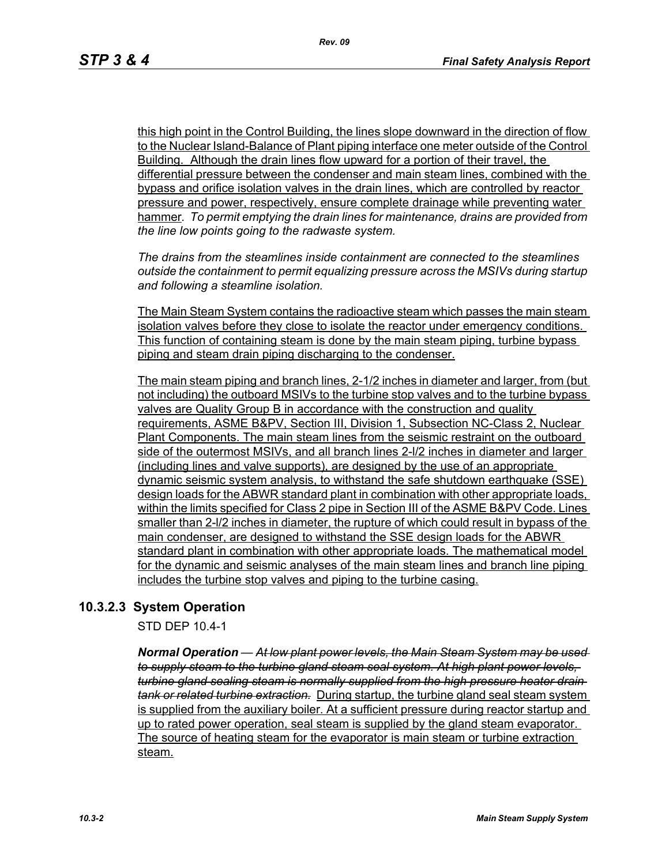this high point in the Control Building, the lines slope downward in the direction of flow to the Nuclear Island-Balance of Plant piping interface one meter outside of the Control Building. Although the drain lines flow upward for a portion of their travel, the differential pressure between the condenser and main steam lines, combined with the bypass and orifice isolation valves in the drain lines, which are controlled by reactor pressure and power, respectively, ensure complete drainage while preventing water hammer*. To permit emptying the drain lines for maintenance, drains are provided from the line low points going to the radwaste system.*

*The drains from the steamlines inside containment are connected to the steamlines outside the containment to permit equalizing pressure across the MSIVs during startup and following a steamline isolation.*

The Main Steam System contains the radioactive steam which passes the main steam isolation valves before they close to isolate the reactor under emergency conditions. This function of containing steam is done by the main steam piping, turbine bypass piping and steam drain piping discharging to the condenser.

The main steam piping and branch lines, 2-1/2 inches in diameter and larger, from (but not including) the outboard MSIVs to the turbine stop valves and to the turbine bypass valves are Quality Group B in accordance with the construction and quality requirements, ASME B&PV, Section III, Division 1, Subsection NC-Class 2, Nuclear Plant Components. The main steam lines from the seismic restraint on the outboard side of the outermost MSIVs, and all branch lines 2-l/2 inches in diameter and larger (including lines and valve supports), are designed by the use of an appropriate dynamic seismic system analysis, to withstand the safe shutdown earthquake (SSE) design loads for the ABWR standard plant in combination with other appropriate loads, within the limits specified for Class 2 pipe in Section III of the ASME B&PV Code. Lines smaller than 2-l/2 inches in diameter, the rupture of which could result in bypass of the main condenser, are designed to withstand the SSE design loads for the ABWR standard plant in combination with other appropriate loads. The mathematical model for the dynamic and seismic analyses of the main steam lines and branch line piping includes the turbine stop valves and piping to the turbine casing.

# **10.3.2.3 System Operation**

STD DEP 10.4-1

*Normal Operation — At low plant power levels, the Main Steam System may be used to supply steam to the turbine gland steam seal system. At high plant power levels, turbine gland sealing steam is normally supplied from the high pressure heater drain tank or related turbine extraction.* During startup, the turbine gland seal steam system is supplied from the auxiliary boiler. At a sufficient pressure during reactor startup and up to rated power operation, seal steam is supplied by the gland steam evaporator. The source of heating steam for the evaporator is main steam or turbine extraction steam.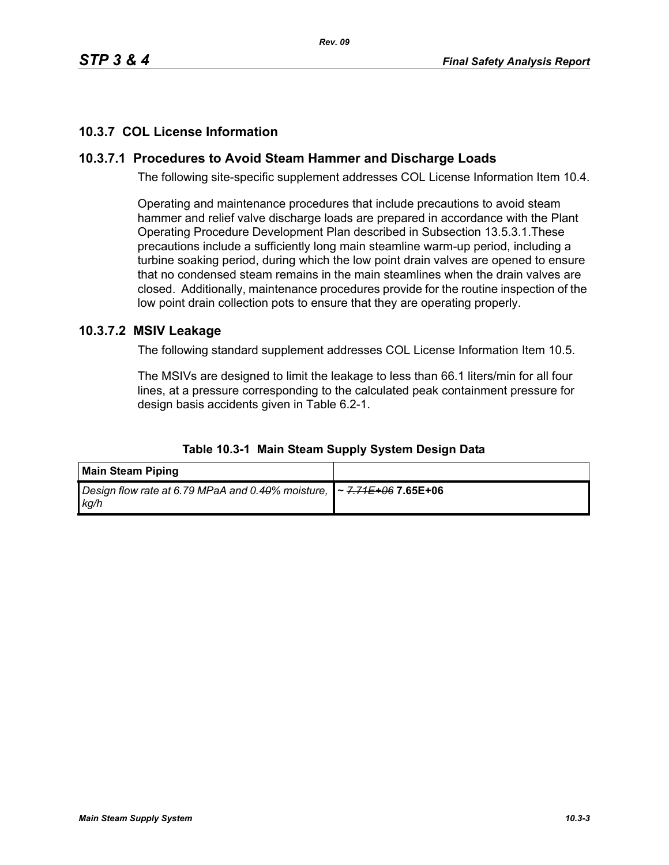# **10.3.7 COL License Information**

# **10.3.7.1 Procedures to Avoid Steam Hammer and Discharge Loads**

The following site-specific supplement addresses COL License Information Item 10.4.

Operating and maintenance procedures that include precautions to avoid steam hammer and relief valve discharge loads are prepared in accordance with the Plant Operating Procedure Development Plan described in Subsection 13.5.3.1.These precautions include a sufficiently long main steamline warm-up period, including a turbine soaking period, during which the low point drain valves are opened to ensure that no condensed steam remains in the main steamlines when the drain valves are closed. Additionally, maintenance procedures provide for the routine inspection of the low point drain collection pots to ensure that they are operating properly.

## **10.3.7.2 MSIV Leakage**

The following standard supplement addresses COL License Information Item 10.5.

The MSIVs are designed to limit the leakage to less than 66.1 liters/min for all four lines, at a pressure corresponding to the calculated peak containment pressure for design basis accidents given in Table 6.2-1.

| <b>Main Steam Piping</b>                                                                   |  |
|--------------------------------------------------------------------------------------------|--|
| Design flow rate at 6.79 MPaA and 0.40% moisture,   ~ <del>7.71E+06</del> 7.65E+06<br>kg/h |  |

#### **Table 10.3-1 Main Steam Supply System Design Data**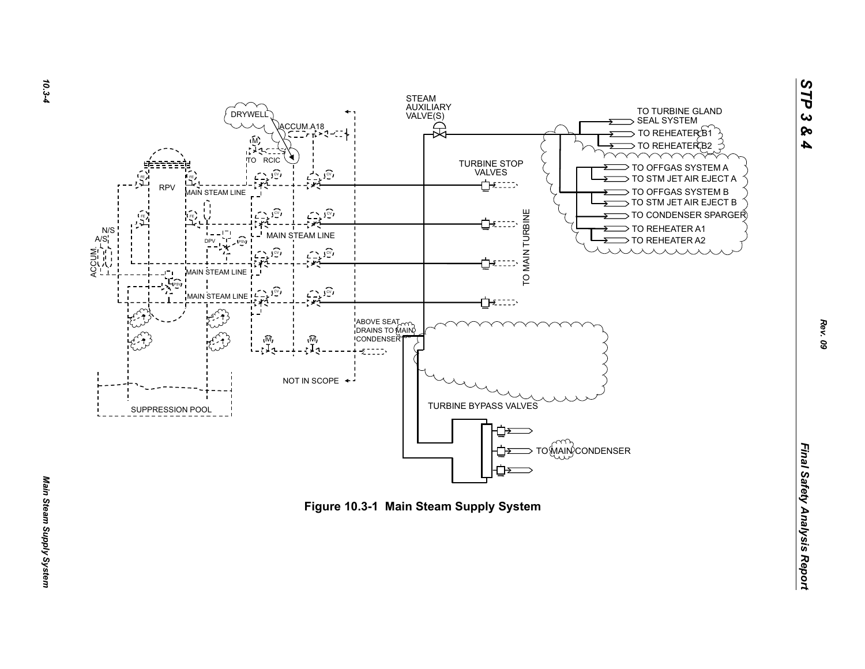



*STP 3 & 4*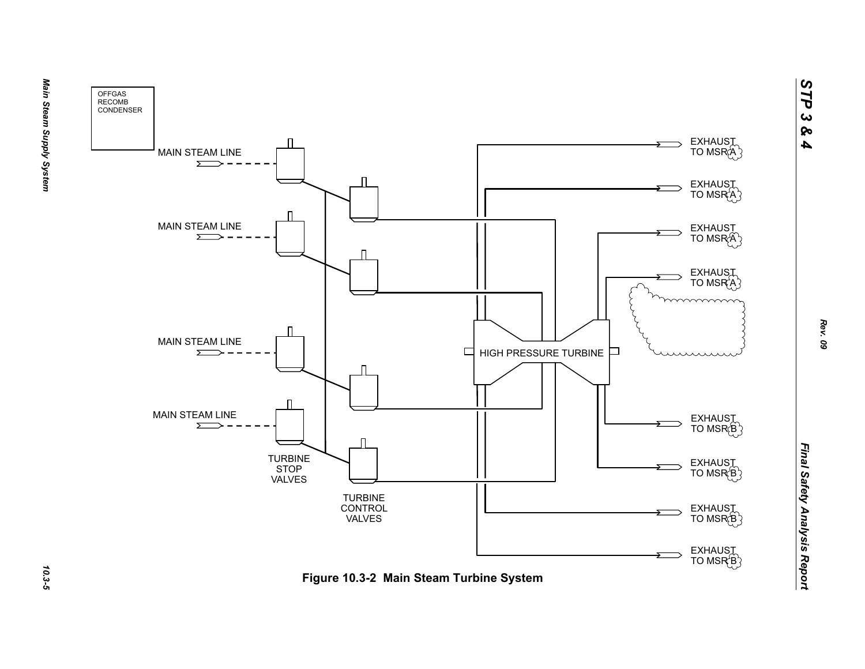



Main Steam Supply System